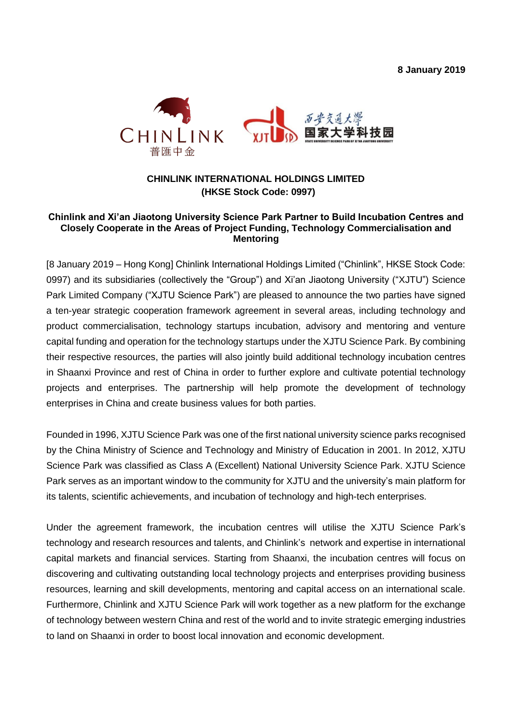**8 January 2019**



## **CHINLINK INTERNATIONAL HOLDINGS LIMITED (HKSE Stock Code: 0997)**

## **Chinlink and Xi'an Jiaotong University Science Park Partner to Build Incubation Centres and Closely Cooperate in the Areas of Project Funding, Technology Commercialisation and Mentoring**

[8 January 2019 – Hong Kong] Chinlink International Holdings Limited ("Chinlink", HKSE Stock Code: 0997) and its subsidiaries (collectively the "Group") and Xi'an Jiaotong University ("XJTU") Science Park Limited Company ("XJTU Science Park") are pleased to announce the two parties have signed a ten-year strategic cooperation framework agreement in several areas, including technology and product commercialisation, technology startups incubation, advisory and mentoring and venture capital funding and operation for the technology startups under the XJTU Science Park. By combining their respective resources, the parties will also jointly build additional technology incubation centres in Shaanxi Province and rest of China in order to further explore and cultivate potential technology projects and enterprises. The partnership will help promote the development of technology enterprises in China and create business values for both parties.

Founded in 1996, XJTU Science Park was one of the first national university science parks recognised by the China Ministry of Science and Technology and Ministry of Education in 2001. In 2012, XJTU Science Park was classified as Class A (Excellent) National University Science Park. XJTU Science Park serves as an important window to the community for XJTU and the university's main platform for its talents, scientific achievements, and incubation of technology and high-tech enterprises.

Under the agreement framework, the incubation centres will utilise the XJTU Science Park's technology and research resources and talents, and Chinlink's network and expertise in international capital markets and financial services. Starting from Shaanxi, the incubation centres will focus on discovering and cultivating outstanding local technology projects and enterprises providing business resources, learning and skill developments, mentoring and capital access on an international scale. Furthermore, Chinlink and XJTU Science Park will work together as a new platform for the exchange of technology between western China and rest of the world and to invite strategic emerging industries to land on Shaanxi in order to boost local innovation and economic development.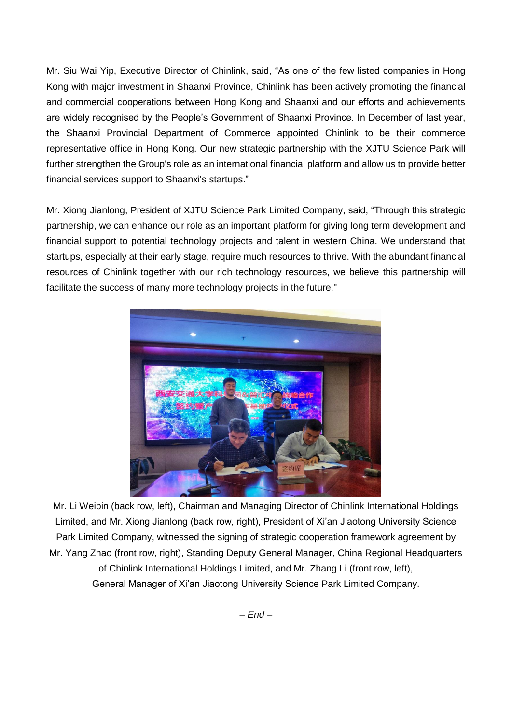Mr. Siu Wai Yip, Executive Director of Chinlink, said, "As one of the few listed companies in Hong Kong with major investment in Shaanxi Province, Chinlink has been actively promoting the financial and commercial cooperations between Hong Kong and Shaanxi and our efforts and achievements are widely recognised by the People's Government of Shaanxi Province. In December of last year, the Shaanxi Provincial Department of Commerce appointed Chinlink to be their commerce representative office in Hong Kong. Our new strategic partnership with the XJTU Science Park will further strengthen the Group's role as an international financial platform and allow us to provide better financial services support to Shaanxi's startups."

Mr. Xiong Jianlong, President of XJTU Science Park Limited Company, said, "Through this strategic partnership, we can enhance our role as an important platform for giving long term development and financial support to potential technology projects and talent in western China. We understand that startups, especially at their early stage, require much resources to thrive. With the abundant financial resources of Chinlink together with our rich technology resources, we believe this partnership will facilitate the success of many more technology projects in the future."



Mr. Li Weibin (back row, left), Chairman and Managing Director of Chinlink International Holdings Limited, and Mr. Xiong Jianlong (back row, right), President of Xi'an Jiaotong University Science Park Limited Company, witnessed the signing of strategic cooperation framework agreement by Mr. Yang Zhao (front row, right), Standing Deputy General Manager, China Regional Headquarters of Chinlink International Holdings Limited, and Mr. Zhang Li (front row, left), General Manager of Xi'an Jiaotong University Science Park Limited Company.